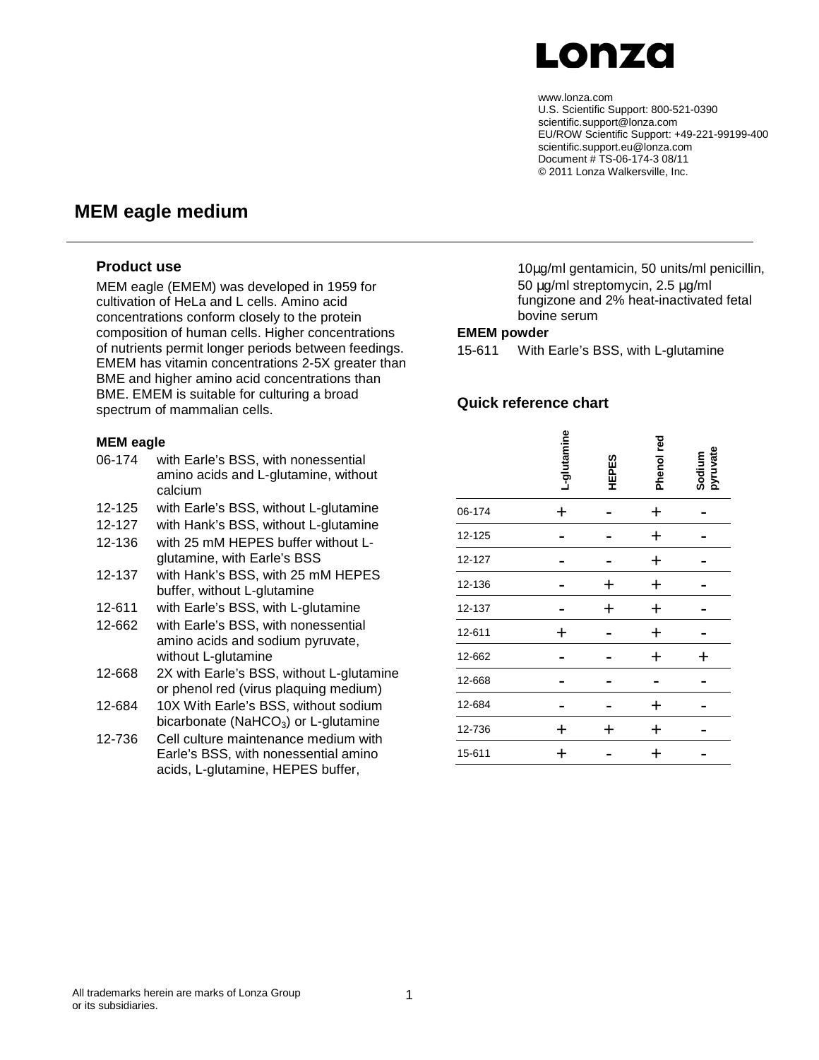# Lonzo

#### www.lonza.com

U.S. Scientific Support: 800-521-0390 scientific.support@lonza.com EU/ROW Scientific Support: +49-221-99199-400 scientific.support.eu@lonza.com Document # TS-06-174-3 08/11 © 2011 Lonza Walkersville, Inc.

# **MEM eagle medium**

### **Product use**

MEM eagle (EMEM) was developed in 1959 for cultivation of HeLa and L cells. Amino acid concentrations conform closely to the protein composition of human cells. Higher concentrations of nutrients permit longer periods between feedings. EMEM has vitamin concentrations 2-5X greater than BME and higher amino acid concentrations than BME. EMEM is suitable for culturing a broad spectrum of mammalian cells.

#### **MEM eagle**

- 06-174 with Earle's BSS, with nonessential amino acids and L-glutamine, without calcium
- 12-125 with Earle's BSS, without L-glutamine
- 12-127 with Hank's BSS, without L-glutamine
- 12-136 with 25 mM HEPES buffer without Lglutamine, with Earle's BSS
- 12-137 with Hank's BSS, with 25 mM HEPES buffer, without L-glutamine
- 12-611 with Earle's BSS, with L-glutamine
- 12-662 with Earle's BSS, with nonessential amino acids and sodium pyruvate, without L-glutamine
- 12-668 2X with Earle's BSS, without L-glutamine or phenol red (virus plaquing medium)
- 12-684 10X With Earle's BSS, without sodium bicarbonate ( $NaHCO<sub>3</sub>$ ) or L-glutamine
- 12-736 Cell culture maintenance medium with Earle's BSS, with nonessential amino acids, L-glutamine, HEPES buffer,

10µg/ml gentamicin, 50 units/ml penicillin, 50 µg/ml streptomycin, 2.5 µg/ml fungizone and 2% heat-inactivated fetal bovine serum

### **EMEM powder**

15-611 With Earle's BSS, with L-glutamine

### **Quick reference chart**

|        | L-glutamine | <b>HEPES</b> | Phenol red  | Sodium<br>pyruvate |
|--------|-------------|--------------|-------------|--------------------|
| 06-174 | ┿           |              | $\ddag$     |                    |
| 12-125 |             |              | $\ddag$     |                    |
| 12-127 |             |              | $\ddag$     |                    |
| 12-136 |             | ╈            | $\ddag$     |                    |
| 12-137 |             | $\ddag$      | $\ddag$     |                    |
| 12-611 | ┿           |              | $\ddag$     |                    |
| 12-662 |             |              | +           | ┿                  |
| 12-668 |             |              |             |                    |
| 12-684 |             |              | $\mathbf +$ |                    |
| 12-736 | ┿           | ┿            | $\ddag$     |                    |
| 15-611 | ┿           |              | $\mathbf +$ |                    |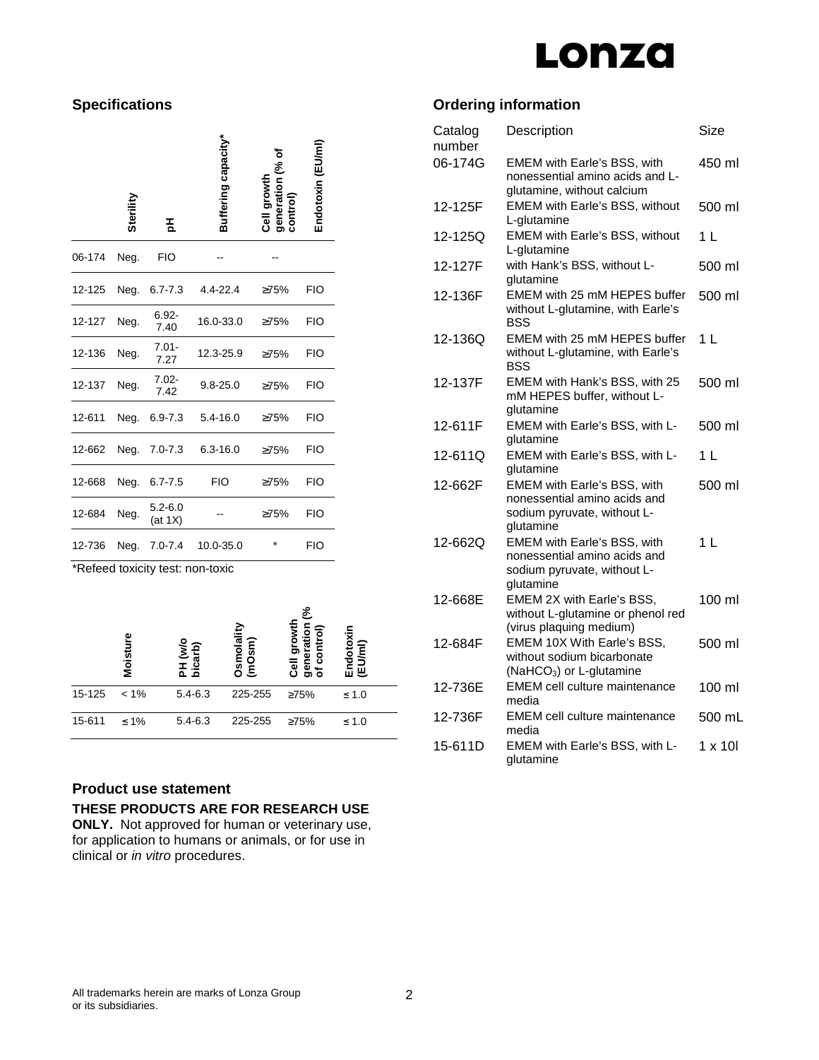# Lonza

# **Specifications**

|        | Sterill | 玉                      | Buffering capacity*      | generation<br>Cell growth<br>control | Endotoxin (EU/m |
|--------|---------|------------------------|--------------------------|--------------------------------------|-----------------|
| 06-174 | Neg.    | <b>FIO</b>             |                          |                                      |                 |
| 12-125 |         |                        | Neg. 6.7-7.3 4.4-22.4    | ≥75%                                 | <b>FIO</b>      |
| 12-127 | Neg.    | $6.92 -$<br>7.40       | 16.0-33.0                | $\geq 75\%$                          | <b>FIO</b>      |
| 12-136 | Neg.    | $7.01 -$<br>7.27       | 12.3-25.9                | $\geq 75\%$                          | FIO             |
| 12-137 | Neg.    | $7.02 -$<br>7.42       | $9.8 - 25.0$             | $\geq 75\%$                          | FIO             |
| 12-611 | Neg.    |                        | $6.9 - 7.3$ $5.4 - 16.0$ | ≥75%                                 | FIO             |
| 12-662 |         |                        | Neg. 7.0-7.3 6.3-16.0    | >75%                                 | <b>FIO</b>      |
| 12-668 | Neg.    | $6.7 - 7.5$            | <b>FIO</b>               | $\geq 75\%$                          | <b>FIO</b>      |
| 12-684 | Neg.    | $5.2 - 6.0$<br>(at 1X) |                          | $\geq 75\%$                          | <b>FIO</b>      |
| 12-736 |         | Neg. 7.0-7.4           | 10.0-35.0                |                                      | <b>FIO</b>      |

\*Refeed toxicity test: non-toxic

|        | ە<br>Moist | PH (w/o<br>bicarb) | Osmolality<br>(mOsm) | है<br>ontrol)<br>ó<br>G<br>era<br>ت<br>క్టే<br>Ē<br>Ō. | ķ<br>ίm<br>щ |  |
|--------|------------|--------------------|----------------------|--------------------------------------------------------|--------------|--|
| 15-125 | $< 1\%$    | $5.4 - 6.3$        | 225-255              | $\geq 75\%$                                            | $\leq 1.0$   |  |
| 15-611 | $≤ 1\%$    | $5.4 - 6.3$        | 225-255              | $\geq 75\%$                                            | $\leq 1.0$   |  |

## **Product use statement**

### **THESE PRODUCTS ARE FOR RESEARCH USE**

**ONLY.** Not approved for human or veterinary use, for application to humans or animals, or for use in clinical or in vitro procedures.

# **Ordering information**

| Catalog<br>number | Description                                                                                                    | Size              |
|-------------------|----------------------------------------------------------------------------------------------------------------|-------------------|
| 06-174G           | EMEM with Earle's BSS, with<br>nonessential amino acids and L-<br>glutamine, without calcium                   | 450 ml            |
| 12-125F           | EMEM with Earle's BSS, without<br>L-glutamine                                                                  | 500 ml            |
| 12-125Q           | <b>EMEM with Earle's BSS, without</b><br>L-glutamine                                                           | $1 \mid$          |
| 12-127F           | with Hank's BSS, without L-<br>glutamine                                                                       | 500 ml            |
| 12-136F           | EMEM with 25 mM HEPES buffer<br>without L-glutamine, with Earle's<br>BSS                                       | 500 ml            |
| 12-136Q           | EMEM with 25 mM HEPES buffer<br>without L-glutamine, with Earle's<br>BSS                                       | 1 L               |
| 12-137F           | EMEM with Hank's BSS, with 25<br>mM HEPES buffer, without L-<br>glutamine                                      | 500 ml            |
| 12-611F           | EMEM with Earle's BSS, with L-<br>glutamine                                                                    | 500 ml            |
| 12-611Q           | EMEM with Earle's BSS, with L-<br>glutamine                                                                    | $1 \mid$          |
| 12-662F           | EMEM with Earle's BSS, with<br>nonessential amino acids and<br>sodium pyruvate, without L-<br>glutamine        | 500 ml            |
| 12-662Q           | <b>EMEM with Earle's BSS, with</b><br>nonessential amino acids and<br>sodium pyruvate, without L-<br>glutamine | 1 <sup>L</sup>    |
| 12-668E           | EMEM 2X with Earle's BSS,<br>without L-glutamine or phenol red<br>(virus plaquing medium)                      | $100 \mathrm{ml}$ |
| 12-684F           | EMEM 10X With Earle's BSS.<br>without sodium bicarbonate<br>(NaHCO <sub>3</sub> ) or L-glutamine               | 500 ml            |
| 12-736E           | <b>EMEM cell culture maintenance</b><br>media                                                                  | 100 ml            |
| 12-736F           | <b>EMEM cell culture maintenance</b><br>media                                                                  | 500 mL            |
| 15-611D           | EMEM with Earle's BSS, with L-<br>qlutamine                                                                    | $1 \times 10$     |